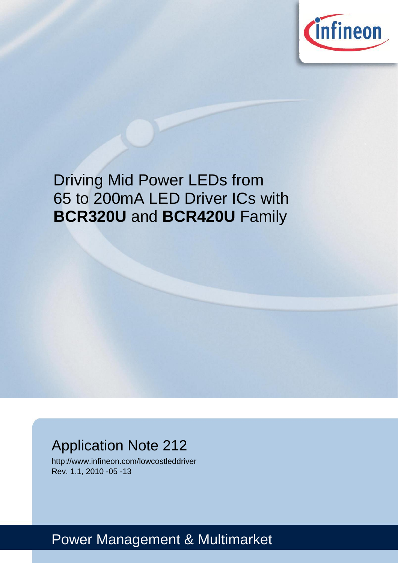

# Driving Mid Power LEDs from 65 to 200mA LED Driver ICs with **BCR320U** and **BCR420U** Family

## Application Note 212

http://www.infineon.com/lowcostleddriver Rev. 1.1, 2010 -05 -13

# Power Management & Multimarket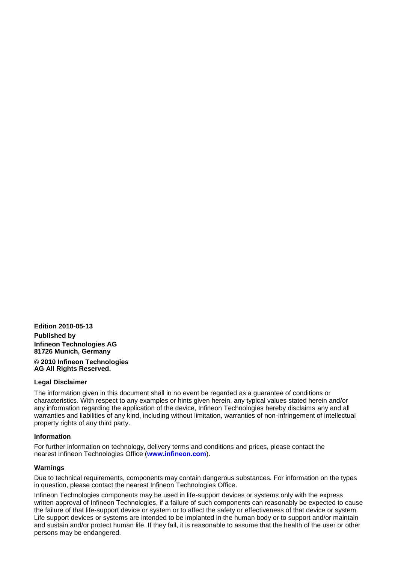**Edition 2010-05-13 Published by Infineon Technologies AG 81726 Munich, Germany © 2010 Infineon Technologies** 

**AG All Rights Reserved.**

#### **Legal Disclaimer**

The information given in this document shall in no event be regarded as a guarantee of conditions or characteristics. With respect to any examples or hints given herein, any typical values stated herein and/or any information regarding the application of the device, Infineon Technologies hereby disclaims any and all warranties and liabilities of any kind, including without limitation, warranties of non-infringement of intellectual property rights of any third party.

#### **Information**

For further information on technology, delivery terms and conditions and prices, please contact the nearest Infineon Technologies Office (**www.infineon.com**).

#### **Warnings**

Due to technical requirements, components may contain dangerous substances. For information on the types in question, please contact the nearest Infineon Technologies Office.

Infineon Technologies components may be used in life-support devices or systems only with the express written approval of Infineon Technologies, if a failure of such components can reasonably be expected to cause the failure of that life-support device or system or to affect the safety or effectiveness of that device or system. Life support devices or systems are intended to be implanted in the human body or to support and/or maintain and sustain and/or protect human life. If they fail, it is reasonable to assume that the health of the user or other persons may be endangered.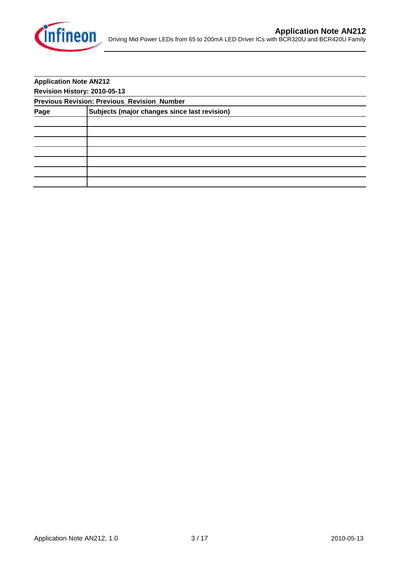

|                              | <b>Application Note AN212</b>                      |  |  |
|------------------------------|----------------------------------------------------|--|--|
| Revision History: 2010-05-13 |                                                    |  |  |
|                              | <b>Previous Revision: Previous_Revision_Number</b> |  |  |
| Page                         | Subjects (major changes since last revision)       |  |  |
|                              |                                                    |  |  |
|                              |                                                    |  |  |
|                              |                                                    |  |  |
|                              |                                                    |  |  |
|                              |                                                    |  |  |
|                              |                                                    |  |  |
|                              |                                                    |  |  |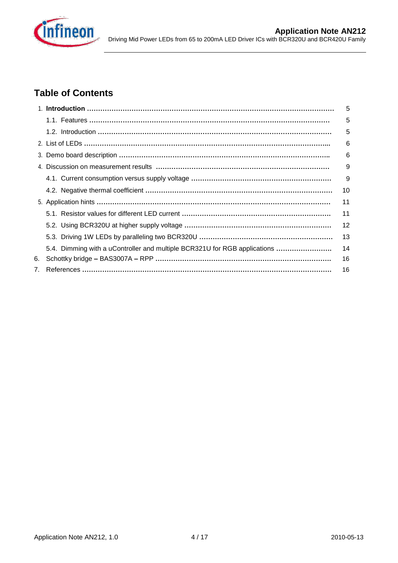

## **Table of Contents**

|    |                                                                           | 5  |
|----|---------------------------------------------------------------------------|----|
|    |                                                                           | 5  |
|    |                                                                           | 5  |
|    |                                                                           | 6  |
|    |                                                                           | 6  |
|    |                                                                           | 9  |
|    |                                                                           | 9  |
|    |                                                                           | 10 |
|    |                                                                           | 11 |
|    |                                                                           | 11 |
|    |                                                                           | 12 |
|    |                                                                           | 13 |
|    | 5.4. Dimming with a uController and multiple BCR321U for RGB applications | 14 |
| 6. |                                                                           | 16 |
| 7. |                                                                           | 16 |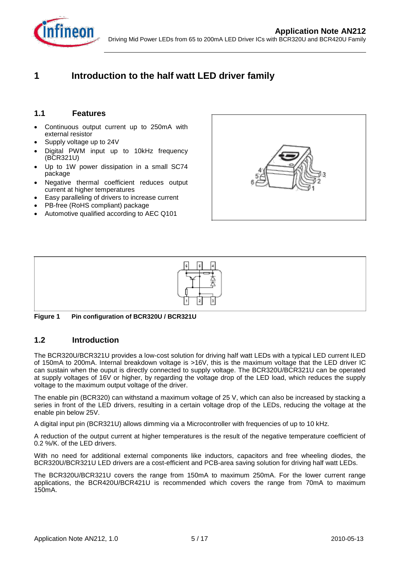

## **1 Introduction to the half watt LED driver family**

#### **1.1 Features**

- Continuous output current up to 250mA with external resistor
- Supply voltage up to 24V ۱
- Digital PWM input up to 10kHz frequency (BCR321U)
- Up to 1W power dissipation in a small SC74 package
- Negative thermal coefficient reduces output current at higher temperatures
- Easy paralleling of drivers to increase current
- PB-free (RoHS compliant) package
- Automotive qualified according to AEC Q101





**Figure 1 Pin configuration of BCR320U / BCR321U**

#### **1.2 Introduction**

The BCR320U/BCR321U provides a low-cost solution for driving half watt LEDs with a typical LED current ILED of 150mA to 200mA. Internal breakdown voltage is >16V, this is the maximum voltage that the LED driver IC can sustain when the ouput is directly connected to supply voltage. The BCR320U/BCR321U can be operated at supply voltages of 16V or higher, by regarding the voltage drop of the LED load, which reduces the supply voltage to the maximum output voltage of the driver.

The enable pin (BCR320) can withstand a maximum voltage of 25 V, which can also be increased by stacking a series in front of the LED drivers, resulting in a certain voltage drop of the LEDs, reducing the voltage at the enable pin below 25V.

A digital input pin (BCR321U) allows dimming via a Microcontroller with frequencies of up to 10 kHz.

A reduction of the output current at higher temperatures is the result of the negative temperature coefficient of 0.2 %/K. of the LED drivers.

With no need for additional external components like inductors, capacitors and free wheeling diodes, the BCR320U/BCR321U LED drivers are a cost-efficient and PCB-area saving solution for driving half watt LEDs.

The BCR320U/BCR321U covers the range from 150mA to maximum 250mA. For the lower current range applications, the BCR420U/BCR421U is recommended which covers the range from 70mA to maximum 150mA.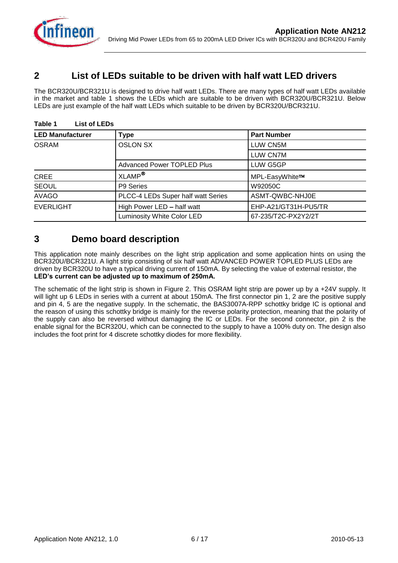

## **2 List of LEDs suitable to be driven with half watt LED drivers**

The BCR320U/BCR321U is designed to drive half watt LEDs. There are many types of half watt LEDs available in the market and table 1 shows the LEDs which are suitable to be driven with BCR320U/BCR321U. Below LEDs are just example of the half watt LEDs which suitable to be driven by BCR320U/BCR321U.

| <b>LED Manufacturer</b> | <b>Type</b>                        | <b>Part Number</b>   |
|-------------------------|------------------------------------|----------------------|
| <b>OSRAM</b>            | <b>OSLON SX</b>                    | LUW CN5M             |
|                         |                                    | <b>LUW CN7M</b>      |
|                         | <b>Advanced Power TOPLED Plus</b>  | LUW G5GP             |
| <b>CREE</b>             | XLAMP <sup>®</sup>                 | MPL-EasyWhite™       |
| <b>SEOUL</b>            | P9 Series                          | W92050C              |
| <b>AVAGO</b>            | PLCC-4 LEDs Super half watt Series | ASMT-QWBC-NHJ0E      |
| <b>EVERLIGHT</b>        | High Power LED - half watt         | EHP-A21/GT31H-PU5/TR |
|                         | Luminosity White Color LED         | 67-235/T2C-PX2Y2/2T  |

#### **Table 1 List of LEDs**

## **3 Demo board description**

This application note mainly describes on the light strip application and some application hints on using the BCR320U/BCR321U. A light strip consisting of six half watt ADVANCED POWER TOPLED PLUS LEDs are driven by BCR320U to have a typical driving current of 150mA. By selecting the value of external resistor, the **LED's current can be adjusted up to maximum of 250mA.**

The schematic of the light strip is shown in Figure 2. This OSRAM light strip are power up by a +24V supply. It will light up 6 LEDs in series with a current at about 150mA. The first connector pin 1, 2 are the positive supply and pin 4, 5 are the negative supply. In the schematic, the BAS3007A-RPP schottky bridge IC is optional and the reason of using this schottky bridge is mainly for the reverse polarity protection, meaning that the polarity of the supply can also be reversed without damaging the IC or LEDs. For the second connector, pin 2 is the enable signal for the BCR320U, which can be connected to the supply to have a 100% duty on. The design also includes the foot print for 4 discrete schottky diodes for more flexibility.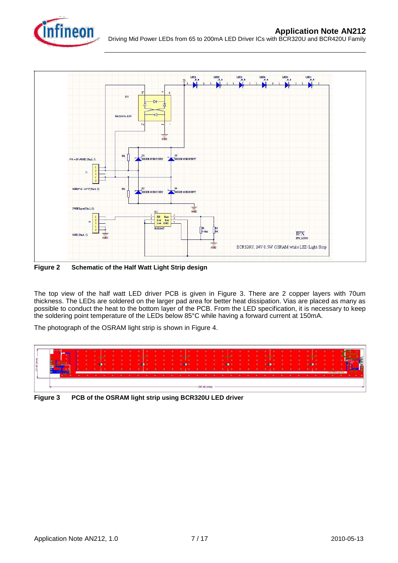



**Figure 2 Schematic of the Half Watt Light Strip design**

The top view of the half watt LED driver PCB is given in Figure 3. There are 2 copper layers with 70um thickness. The LEDs are soldered on the larger pad area for better heat dissipation. Vias are placed as many as possible to conduct the heat to the bottom layer of the PCB. From the LED specification, it is necessary to keep the soldering point temperature of the LEDs below 85°C while having a forward current at 150mA.

The photograph of the OSRAM light strip is shown in Figure 4.



**Figure 3 PCB of the OSRAM light strip using BCR320U LED driver**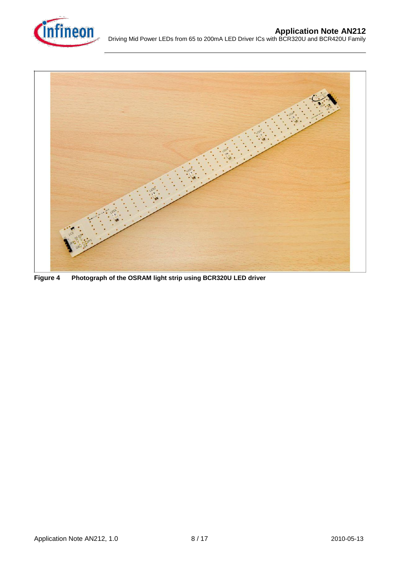



**Figure 4 Photograph of the OSRAM light strip using BCR320U LED driver**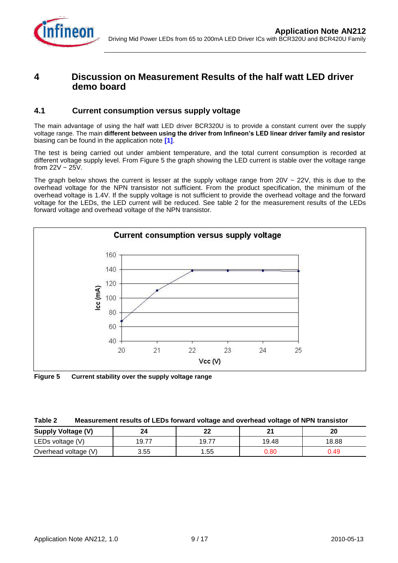

## **4 Discussion on Measurement Results of the half watt LED driver demo board**

#### **4.1 Current consumption versus supply voltage**

The main advantage of using the half watt LED driver BCR320U is to provide a constant current over the supply voltage range. The main **different between using the driver from Infineon's LED linear driver family and resistor** biasing can be found in the application note **[1]**.

The test is being carried out under ambient temperature, and the total current consumption is recorded at different voltage supply level. From Figure 5 the graph showing the LED current is stable over the voltage range from  $22V \sim 25V$ .

The graph below shows the current is lesser at the supply voltage range from  $20V \sim 22V$ , this is due to the overhead voltage for the NPN transistor not sufficient. From the product specification, the minimum of the overhead voltage is 1.4V. If the supply voltage is not sufficient to provide the overhead voltage and the forward voltage for the LEDs, the LED current will be reduced. See table 2 for the measurement results of the LEDs forward voltage and overhead voltage of the NPN transistor.



**Figure 5 Current stability over the supply voltage range**

| Table 2<br>Measurement results of LEDs forward voltage and overhead voltage of NPN transistor |  |  |  |
|-----------------------------------------------------------------------------------------------|--|--|--|
|-----------------------------------------------------------------------------------------------|--|--|--|

| <b>Supply Voltage (V)</b> | 24         | ^^<br>--                        | ີ     | 20    |
|---------------------------|------------|---------------------------------|-------|-------|
| LEDs voltage (V)          | --<br>19.7 | 9.7<br>$\overline{\phantom{a}}$ | 19.48 | 18.88 |
| Overhead voltage (V)      | 3.55       | .55                             | າ.80  | ).49  |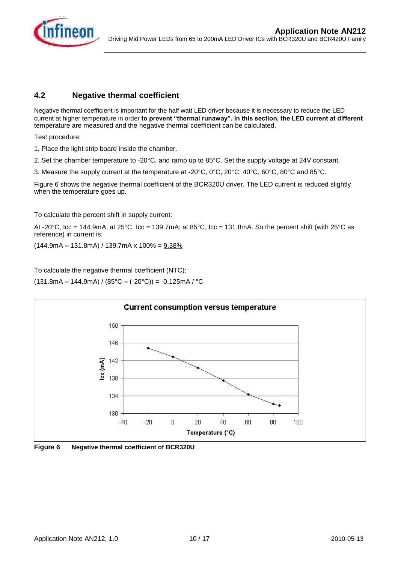

#### **4.2 Negative thermal coefficient**

Negative thermal coefficient is important for the half watt LED driver because it is necessary to reduce the LED current at higher temperature in order **to prevent "thermal runaway". In this section, the LED current at different** temperature are measured and the negative thermal coefficient can be calculated.

Test procedure:

- 1. Place the light strip board inside the chamber.
- 2. Set the chamber temperature to -20°C, and ramp up to 85°C. Set the supply voltage at 24V constant.
- 3. Measure the supply current at the temperature at -20°C, 0°C, 20°C, 40°C, 60°C, 80°C and 85°C.

Figure 6 shows the negative thermal coefficient of the BCR320U driver. The LED current is reduced slightly when the temperature goes up.

To calculate the percent shift in supply current:

At -20 $^{\circ}$ C, Icc = 144.9mA; at 25 $^{\circ}$ C, Icc = 139.7mA; at 85 $^{\circ}$ C, Icc = 131.8mA. So the percent shift (with 25 $^{\circ}$ C as reference) in current is:

(144.9mA **–** 131.8mA) / 139.7mA x 100% = 9.38%

To calculate the negative thermal coefficient (NTC):

(131.8mA **–** 144.9mA) / (85°C **–** (-20°C)) = -0.125mA / °C



**Figure 6 Negative thermal coefficient of BCR320U**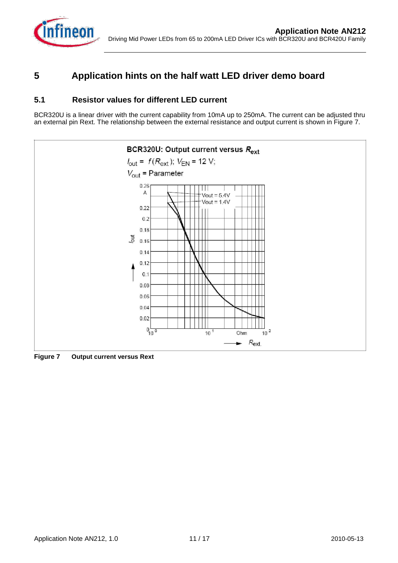

## **5 Application hints on the half watt LED driver demo board**

#### **5.1 Resistor values for different LED current**

BCR320U is a linear driver with the current capability from 10mA up to 250mA. The current can be adjusted thru an external pin Rext. The relationship between the external resistance and output current is shown in Figure 7.



**Figure 7 Output current versus Rext**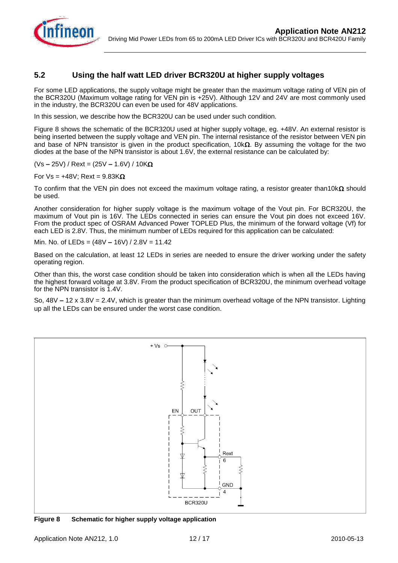

#### **5.2 Using the half watt LED driver BCR320U at higher supply voltages**

For some LED applications, the supply voltage might be greater than the maximum voltage rating of VEN pin of the BCR320U (Maximum voltage rating for VEN pin is +25V). Although 12V and 24V are most commonly used in the industry, the BCR320U can even be used for 48V applications.

In this session, we describe how the BCR320U can be used under such condition.

Figure 8 shows the schematic of the BCR320U used at higher supply voltage, eg. +48V. An external resistor is being inserted between the supply voltage and VEN pin. The internal resistance of the resistor between VEN pin and base of NPN transistor is given in the product specification,  $10k\Omega$ . By assuming the voltage for the two diodes at the base of the NPN transistor is about 1.6V, the external resistance can be calculated by:

(Vs **–** 25V) / Rext = (25V **–** 1.6V) / 10K

For  $Vs = +48V$ ; Rext = 9.83K $\Omega$ 

To confirm that the VEN pin does not exceed the maximum voltage rating, a resistor greater than10k $\Omega$  should be used.

Another consideration for higher supply voltage is the maximum voltage of the Vout pin. For BCR320U, the maximum of Vout pin is 16V. The LEDs connected in series can ensure the Vout pin does not exceed 16V. From the product spec of OSRAM Advanced Power TOPLED Plus, the minimum of the forward voltage (Vf) for each LED is 2.8V. Thus, the minimum number of LEDs required for this application can be calculated:

Min. No. of LEDs = (48V **–** 16V) / 2.8V = 11.42

Based on the calculation, at least 12 LEDs in series are needed to ensure the driver working under the safety operating region.

Other than this, the worst case condition should be taken into consideration which is when all the LEDs having the highest forward voltage at 3.8V. From the product specification of BCR320U, the minimum overhead voltage for the NPN transistor is 1.4V.

So, 48V **–** 12 x 3.8V = 2.4V, which is greater than the minimum overhead voltage of the NPN transistor. Lighting up all the LEDs can be ensured under the worst case condition.



**Figure 8 Schematic for higher supply voltage application**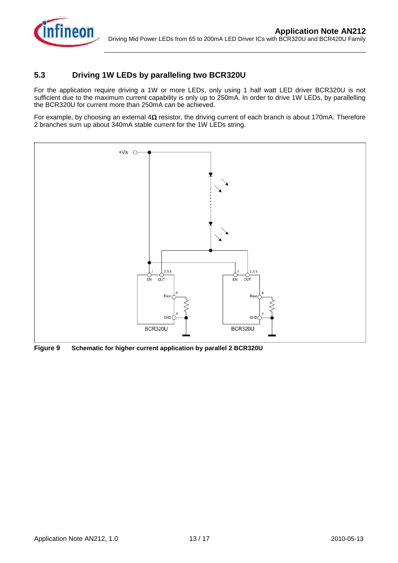

#### **5.3 Driving 1W LEDs by paralleling two BCR320U**

For the application require driving a 1W or more LEDs, only using 1 half watt LED driver BCR320U is not sufficient due to the maximum current capability is only up to 250mA. In order to drive 1W LEDs, by parallelling the BCR320U for current more than 250mA can be achieved.

For example, by choosing an external  $4\Omega$  resistor, the driving current of each branch is about 170mA. Therefore 2 branches sum up about 340mA stable current for the 1W LEDs string.



**Figure 9 Schematic for higher current application by parallel 2 BCR320U**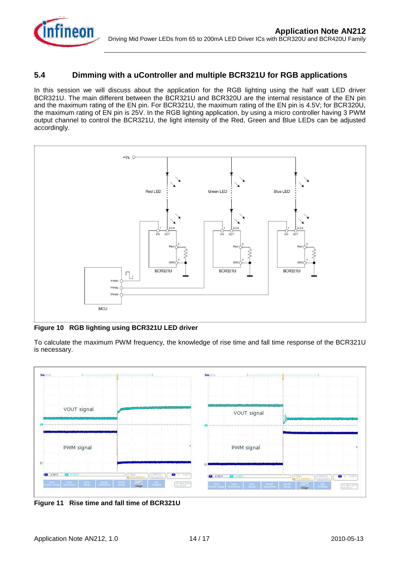

#### **5.4 Dimming with a uController and multiple BCR321U for RGB applications**

In this session we will discuss about the application for the RGB lighting using the half watt LED driver BCR321U. The main different between the BCR321U and BCR320U are the internal resistance of the EN pin and the maximum rating of the EN pin. For BCR321U, the maximum rating of the EN pin is 4.5V; for BCR320U, the maximum rating of EN pin is 25V. In the RGB lighting application, by using a micro controller having 3 PWM output channel to control the BCR321U, the light intensity of the Red, Green and Blue LEDs can be adjusted accordingly.



**Figure 10 RGB lighting using BCR321U LED driver**

To calculate the maximum PWM frequency, the knowledge of rise time and fall time response of the BCR321U is necessary.



**Figure 11 Rise time and fall time of BCR321U**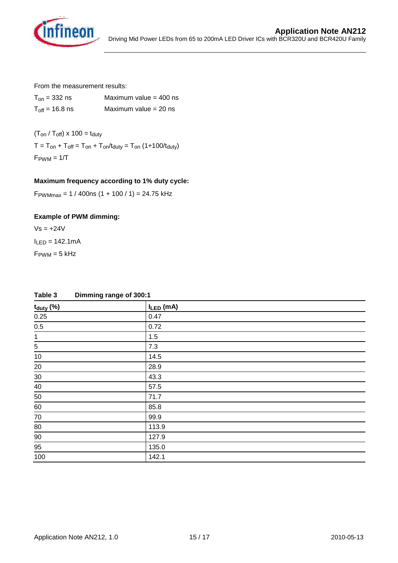

From the measurement results:

| $T_{on}$ = 332 ns                  | Maximum value $=$ 400 ns |
|------------------------------------|--------------------------|
| $T_{\text{off}} = 16.8 \text{ ns}$ | Maximum value $= 20$ ns  |

 $(T_{on} / T_{off}) \times 100 = t_{duty}$  $T = T_{on} + T_{off} = T_{on} + T_{on}/t_{duty} = T_{on} (1+100/t_{duty})$  $F_{\text{PWM}} = 1/T$ 

#### **Maximum frequency according to 1% duty cycle:**

 $F<sub>PWMmax</sub> = 1 / 400$ ns (1 + 100 / 1) = 24.75 kHz

#### **Example of PWM dimming:**

 $Vs = +24V$  $I_{LED} = 142.1 \text{mA}$ 

 $F_{\text{PWM}} = 5$  kHz

| $t_{duty}$ (%) | $I_{LED}$ (mA) |
|----------------|----------------|
| 0.25           | 0.47           |
| $0.5\,$        | 0.72           |
| $\mathbf{1}$   | 1.5            |
| $\overline{5}$ | 7.3            |
| $10$           | 14.5           |
| 20             | 28.9           |
| $30\,$         | 43.3           |
| $40\,$         | 57.5           |
| 50             | 71.7           |
| $60\,$         | 85.8           |
| $70\,$         | 99.9           |
| $80\,$         | 113.9          |
| 90             | 127.9          |
| 95             | 135.0          |
| 100            | 142.1          |

**Table 3 Dimming range of 300:1**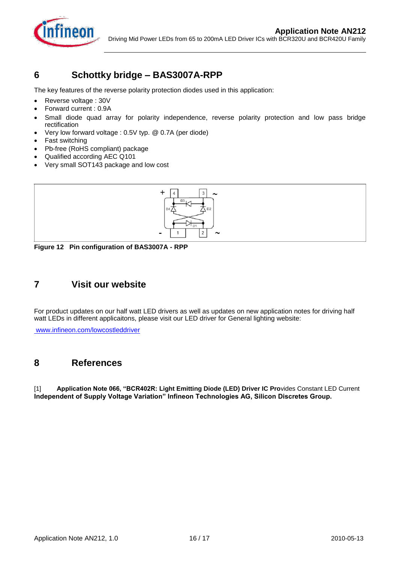

## **6 Schottky bridge – BAS3007A-RPP**

The key features of the reverse polarity protection diodes used in this application:

- Reverse voltage : 30V
- Forward current : 0.9A l
- Small diode quad array for polarity independence, reverse polarity protection and low pass bridge rectification
- Very low forward voltage : 0.5V typ. @ 0.7A (per diode)
- Fast switching
- Pb-free (RoHS compliant) package
- Qualified according AEC Q101
- Very small SOT143 package and low cost



**Figure 12 Pin configuration of BAS3007A - RPP**

## **7 Visit our website**

For product updates on our half watt LED drivers as well as updates on new application notes for driving half watt LEDs in different applicaitons, please visit our LED driver for General lighting website:

[www.infineon.com/lowcostleddriver](http://www.infineon.com/lowcostleddriver)

## **8 References**

[1] **Application Note 066, "BCR402R: Light Emitting Diode (LED) Driver IC Pro**vides Constant LED Current **Independent of Supply Voltage Variation" Infineon Technologies AG, Silicon Discretes Group.**